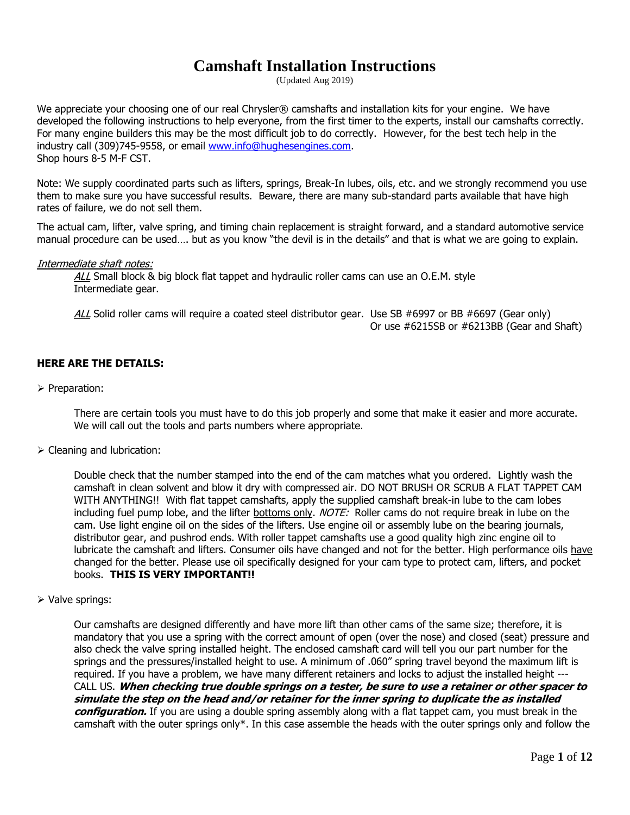## **Camshaft Installation Instructions**

(Updated Aug 2019)

We appreciate your choosing one of our real Chrysler® camshafts and installation kits for your engine. We have developed the following instructions to help everyone, from the first timer to the experts, install our camshafts correctly. For many engine builders this may be the most difficult job to do correctly. However, for the best tech help in the industry call (309)745-9558, or email [www.info@hughesengines.com.](http://www.info@hughesengines.com) Shop hours 8-5 M-F CST.

Note: We supply coordinated parts such as lifters, springs, Break-In lubes, oils, etc. and we strongly recommend you use them to make sure you have successful results. Beware, there are many sub-standard parts available that have high rates of failure, we do not sell them.

The actual cam, lifter, valve spring, and timing chain replacement is straight forward, and a standard automotive service manual procedure can be used…. but as you know "the devil is in the details" and that is what we are going to explain.

#### Intermediate shaft notes:

ALL Small block & big block flat tappet and hydraulic roller cams can use an O.E.M. style Intermediate gear.

ALL Solid roller cams will require a coated steel distributor gear. Use SB #6997 or BB #6697 (Gear only) Or use #6215SB or #6213BB (Gear and Shaft)

#### **HERE ARE THE DETAILS:**

➢ Preparation:

There are certain tools you must have to do this job properly and some that make it easier and more accurate. We will call out the tools and parts numbers where appropriate.

➢ Cleaning and lubrication:

Double check that the number stamped into the end of the cam matches what you ordered. Lightly wash the camshaft in clean solvent and blow it dry with compressed air. DO NOT BRUSH OR SCRUB A FLAT TAPPET CAM WITH ANYTHING!! With flat tappet camshafts, apply the supplied camshaft break-in lube to the cam lobes including fuel pump lobe, and the lifter bottoms only. NOTE: Roller cams do not require break in lube on the cam. Use light engine oil on the sides of the lifters. Use engine oil or assembly lube on the bearing journals, distributor gear, and pushrod ends. With roller tappet camshafts use a good quality high zinc engine oil to lubricate the camshaft and lifters. Consumer oils have changed and not for the better. High performance oils have changed for the better. Please use oil specifically designed for your cam type to protect cam, lifters, and pocket books. **THIS IS VERY IMPORTANT!!**

➢ Valve springs:

Our camshafts are designed differently and have more lift than other cams of the same size; therefore, it is mandatory that you use a spring with the correct amount of open (over the nose) and closed (seat) pressure and also check the valve spring installed height. The enclosed camshaft card will tell you our part number for the springs and the pressures/installed height to use. A minimum of .060" spring travel beyond the maximum lift is required. If you have a problem, we have many different retainers and locks to adjust the installed height --- CALL US. **When checking true double springs on a tester, be sure to use a retainer or other spacer to simulate the step on the head and/or retainer for the inner spring to duplicate the as installed configuration.** If you are using a double spring assembly along with a flat tappet cam, you must break in the camshaft with the outer springs only\*. In this case assemble the heads with the outer springs only and follow the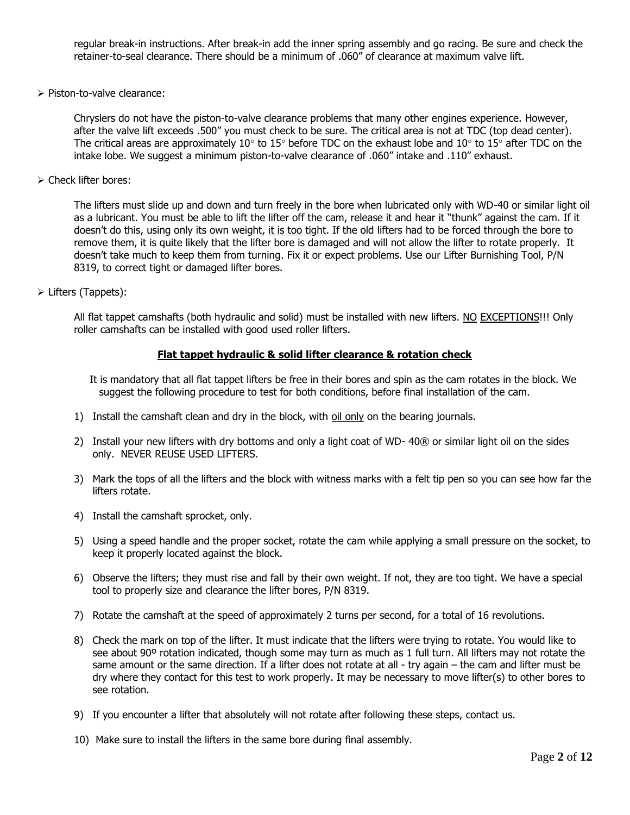regular break-in instructions. After break-in add the inner spring assembly and go racing. Be sure and check the retainer-to-seal clearance. There should be a minimum of .060" of clearance at maximum valve lift.

➢ Piston-to-valve clearance:

Chryslers do not have the piston-to-valve clearance problems that many other engines experience. However, after the valve lift exceeds .500" you must check to be sure. The critical area is not at TDC (top dead center). The critical areas are approximately 10° to 15° before TDC on the exhaust lobe and 10° to 15° after TDC on the intake lobe. We suggest a minimum piston-to-valve clearance of .060" intake and .110" exhaust.

➢ Check lifter bores:

The lifters must slide up and down and turn freely in the bore when lubricated only with WD-40 or similar light oil as a lubricant. You must be able to lift the lifter off the cam, release it and hear it "thunk" against the cam. If it doesn't do this, using only its own weight, it is too tight. If the old lifters had to be forced through the bore to remove them, it is quite likely that the lifter bore is damaged and will not allow the lifter to rotate properly. It doesn't take much to keep them from turning. Fix it or expect problems. Use our Lifter Burnishing Tool, P/N 8319, to correct tight or damaged lifter bores.

➢ Lifters (Tappets):

All flat tappet camshafts (both hydraulic and solid) must be installed with new lifters. NO EXCEPTIONS!!! Only roller camshafts can be installed with good used roller lifters.

#### **Flat tappet hydraulic & solid lifter clearance & rotation check**

It is mandatory that all flat tappet lifters be free in their bores and spin as the cam rotates in the block. We suggest the following procedure to test for both conditions, before final installation of the cam.

- 1) Install the camshaft clean and dry in the block, with oil only on the bearing journals.
- 2) Install your new lifters with dry bottoms and only a light coat of WD- 40® or similar light oil on the sides only. NEVER REUSE USED LIFTERS.
- 3) Mark the tops of all the lifters and the block with witness marks with a felt tip pen so you can see how far the lifters rotate.
- 4) Install the camshaft sprocket, only.
- 5) Using a speed handle and the proper socket, rotate the cam while applying a small pressure on the socket, to keep it properly located against the block.
- 6) Observe the lifters; they must rise and fall by their own weight. If not, they are too tight. We have a special tool to properly size and clearance the lifter bores, P/N 8319.
- 7) Rotate the camshaft at the speed of approximately 2 turns per second, for a total of 16 revolutions.
- 8) Check the mark on top of the lifter. It must indicate that the lifters were trying to rotate. You would like to see about 90° rotation indicated, though some may turn as much as 1 full turn. All lifters may not rotate the same amount or the same direction. If a lifter does not rotate at all - try again – the cam and lifter must be dry where they contact for this test to work properly. It may be necessary to move lifter(s) to other bores to see rotation.
- 9) If you encounter a lifter that absolutely will not rotate after following these steps, contact us.
- 10) Make sure to install the lifters in the same bore during final assembly.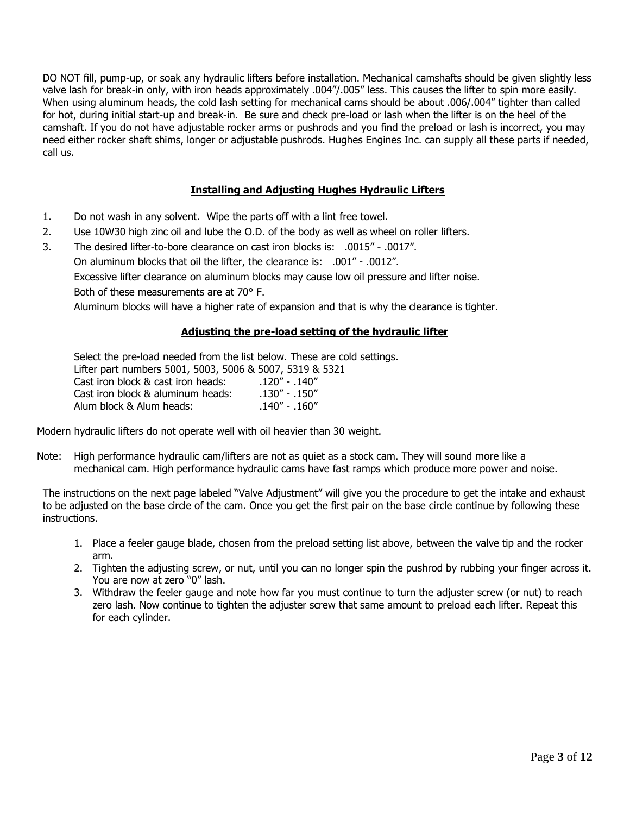DO NOT fill, pump-up, or soak any hydraulic lifters before installation. Mechanical camshafts should be given slightly less valve lash for break-in only, with iron heads approximately .004"/.005" less. This causes the lifter to spin more easily. When using aluminum heads, the cold lash setting for mechanical cams should be about .006/.004" tighter than called for hot, during initial start-up and break-in. Be sure and check pre-load or lash when the lifter is on the heel of the camshaft. If you do not have adjustable rocker arms or pushrods and you find the preload or lash is incorrect, you may need either rocker shaft shims, longer or adjustable pushrods. Hughes Engines Inc. can supply all these parts if needed, call us.

#### **Installing and Adjusting Hughes Hydraulic Lifters**

- 1. Do not wash in any solvent. Wipe the parts off with a lint free towel.
- 2. Use 10W30 high zinc oil and lube the O.D. of the body as well as wheel on roller lifters.
- 3. The desired lifter-to-bore clearance on cast iron blocks is: .0015" .0017". On aluminum blocks that oil the lifter, the clearance is: .001" - .0012".

Excessive lifter clearance on aluminum blocks may cause low oil pressure and lifter noise.

Both of these measurements are at 70° F.

Aluminum blocks will have a higher rate of expansion and that is why the clearance is tighter.

#### **Adjusting the pre-load setting of the hydraulic lifter**

Select the pre-load needed from the list below. These are cold settings. Lifter part numbers 5001, 5003, 5006 & 5007, 5319 & 5321 Cast iron block & cast iron heads: .120" - .140" Cast iron block & aluminum heads: . .130" - .150" Alum block & Alum heads: .140" - .160"

Modern hydraulic lifters do not operate well with oil heavier than 30 weight.

Note: High performance hydraulic cam/lifters are not as quiet as a stock cam. They will sound more like a mechanical cam. High performance hydraulic cams have fast ramps which produce more power and noise.

The instructions on the next page labeled "Valve Adjustment" will give you the procedure to get the intake and exhaust to be adjusted on the base circle of the cam. Once you get the first pair on the base circle continue by following these instructions.

- 1. Place a feeler gauge blade, chosen from the preload setting list above, between the valve tip and the rocker arm.
- 2. Tighten the adjusting screw, or nut, until you can no longer spin the pushrod by rubbing your finger across it. You are now at zero "0" lash.
- 3. Withdraw the feeler gauge and note how far you must continue to turn the adjuster screw (or nut) to reach zero lash. Now continue to tighten the adjuster screw that same amount to preload each lifter. Repeat this for each cylinder.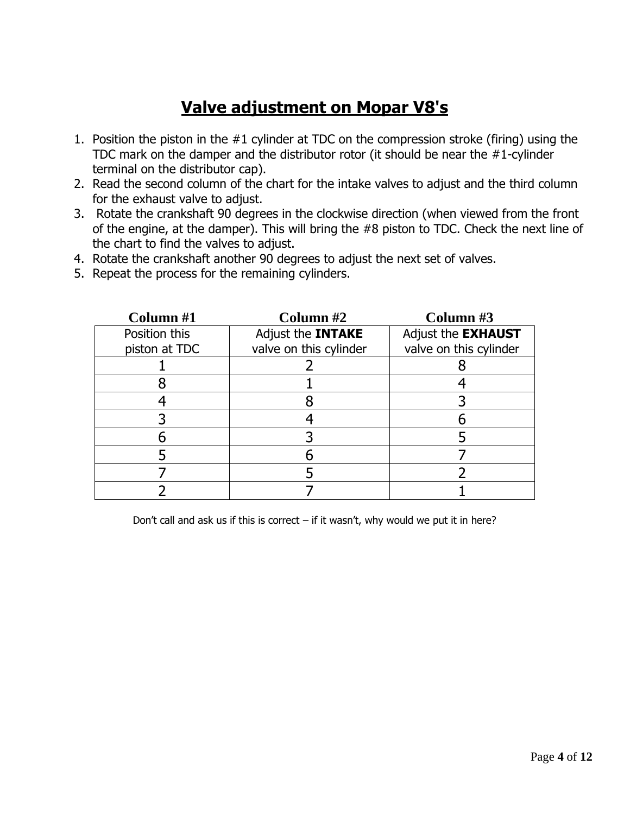## **Valve adjustment on Mopar V8's**

- 1. Position the piston in the #1 cylinder at TDC on the compression stroke (firing) using the TDC mark on the damper and the distributor rotor (it should be near the #1-cylinder terminal on the distributor cap).
- 2. Read the second column of the chart for the intake valves to adjust and the third column for the exhaust valve to adjust.
- 3. Rotate the crankshaft 90 degrees in the clockwise direction (when viewed from the front of the engine, at the damper). This will bring the #8 piston to TDC. Check the next line of the chart to find the valves to adjust.
- 4. Rotate the crankshaft another 90 degrees to adjust the next set of valves.
- 5. Repeat the process for the remaining cylinders.

| Column #1     | Column $#2$              | Column #3                 |
|---------------|--------------------------|---------------------------|
| Position this | Adjust the <b>INTAKE</b> | Adjust the <b>EXHAUST</b> |
| piston at TDC | valve on this cylinder   | valve on this cylinder    |
|               |                          |                           |
|               |                          |                           |
|               |                          |                           |
|               |                          |                           |
|               |                          |                           |
|               |                          |                           |
|               |                          |                           |
|               |                          |                           |

Don't call and ask us if this is correct  $-$  if it wasn't, why would we put it in here?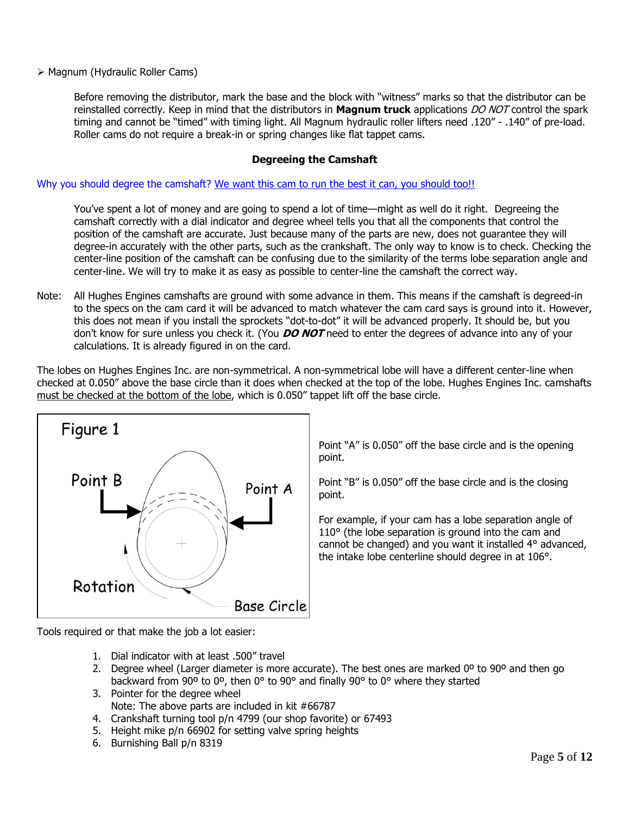➢ Magnum (Hydraulic Roller Cams)

Before removing the distributor, mark the base and the block with "witness" marks so that the distributor can be reinstalled correctly. Keep in mind that the distributors in **Magnum truck** applications DO NOT control the spark timing and cannot be "timed" with timing light. All Magnum hydraulic roller lifters need .120" - .140" of pre-load. Roller cams do not require a break-in or spring changes like flat tappet cams.

#### **Degreeing the Camshaft**

Why you should degree the camshaft? We want this cam to run the best it can, you should too!!

You've spent a lot of money and are going to spend a lot of time—might as well do it right. Degreeing the camshaft correctly with a dial indicator and degree wheel tells you that all the components that control the position of the camshaft are accurate. Just because many of the parts are new, does not guarantee they will degree-in accurately with the other parts, such as the crankshaft. The only way to know is to check. Checking the center-line position of the camshaft can be confusing due to the similarity of the terms lobe separation angle and center-line. We will try to make it as easy as possible to center-line the camshaft the correct way.

Note: All Hughes Engines camshafts are ground with some advance in them. This means if the camshaft is degreed-in to the specs on the cam card it will be advanced to match whatever the cam card says is ground into it. However, this does not mean if you install the sprockets "dot-to-dot" it will be advanced properly. It should be, but you don't know for sure unless you check it. (You **DO NOT** need to enter the degrees of advance into any of your calculations. It is already figured in on the card.

The lobes on Hughes Engines Inc. are non-symmetrical. A non-symmetrical lobe will have a different center-line when checked at 0.050" above the base circle than it does when checked at the top of the lobe. Hughes Engines Inc. camshafts must be checked at the bottom of the lobe, which is 0.050" tappet lift off the base circle.



Point "A" is 0.050" off the base circle and is the opening point.

Point "B" is 0.050" off the base circle and is the closing point.

For example, if your cam has a lobe separation angle of 110° (the lobe separation is ground into the cam and cannot be changed) and you want it installed 4° advanced, the intake lobe centerline should degree in at 106°.

Tools required or that make the job a lot easier:

- 1. Dial indicator with at least .500" travel
- 2. Degree wheel (Larger diameter is more accurate). The best ones are marked  $0^{\circ}$  to  $90^{\circ}$  and then go backward from 90º to 0º, then 0° to 90° and finally 90° to 0° where they started
- 3. Pointer for the degree wheel Note: The above parts are included in kit #66787
- 4. Crankshaft turning tool p/n 4799 (our shop favorite) or 67493
- 5. Height mike p/n 66902 for setting valve spring heights
- 6. Burnishing Ball p/n 8319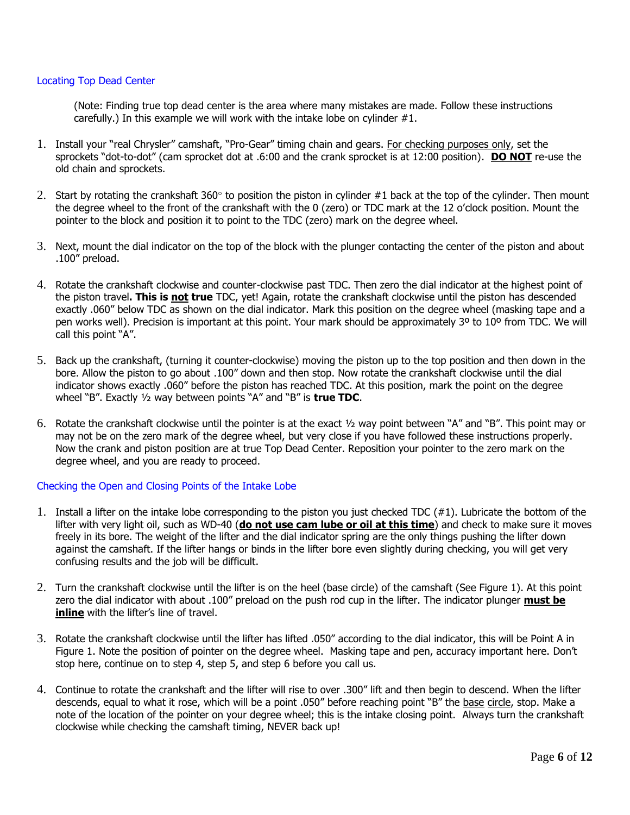#### Locating Top Dead Center

(Note: Finding true top dead center is the area where many mistakes are made. Follow these instructions carefully.) In this example we will work with the intake lobe on cylinder #1.

- 1. Install your "real Chrysler" camshaft, "Pro-Gear" timing chain and gears. For checking purposes only, set the sprockets "dot-to-dot" (cam sprocket dot at .6:00 and the crank sprocket is at 12:00 position). **DO NOT** re-use the old chain and sprockets.
- 2. Start by rotating the crankshaft 360 $\degree$  to position the piston in cylinder #1 back at the top of the cylinder. Then mount the degree wheel to the front of the crankshaft with the 0 (zero) or TDC mark at the 12 o'clock position. Mount the pointer to the block and position it to point to the TDC (zero) mark on the degree wheel.
- 3. Next, mount the dial indicator on the top of the block with the plunger contacting the center of the piston and about .100" preload.
- 4. Rotate the crankshaft clockwise and counter-clockwise past TDC. Then zero the dial indicator at the highest point of the piston travel**. This is not true** TDC, yet! Again, rotate the crankshaft clockwise until the piston has descended exactly .060" below TDC as shown on the dial indicator. Mark this position on the degree wheel (masking tape and a pen works well). Precision is important at this point. Your mark should be approximately 3º to 10º from TDC. We will call this point "A".
- 5. Back up the crankshaft, (turning it counter-clockwise) moving the piston up to the top position and then down in the bore. Allow the piston to go about .100" down and then stop. Now rotate the crankshaft clockwise until the dial indicator shows exactly .060" before the piston has reached TDC. At this position, mark the point on the degree wheel "B". Exactly ½ way between points "A" and "B" is **true TDC**.
- 6. Rotate the crankshaft clockwise until the pointer is at the exact ½ way point between "A" and "B". This point may or may not be on the zero mark of the degree wheel, but very close if you have followed these instructions properly. Now the crank and piston position are at true Top Dead Center. Reposition your pointer to the zero mark on the degree wheel, and you are ready to proceed.

#### Checking the Open and Closing Points of the Intake Lobe

- 1. Install a lifter on the intake lobe corresponding to the piston you just checked TDC  $(\#1)$ . Lubricate the bottom of the lifter with very light oil, such as WD-40 (**do not use cam lube or oil at this time**) and check to make sure it moves freely in its bore. The weight of the lifter and the dial indicator spring are the only things pushing the lifter down against the camshaft. If the lifter hangs or binds in the lifter bore even slightly during checking, you will get very confusing results and the job will be difficult.
- 2. Turn the crankshaft clockwise until the lifter is on the heel (base circle) of the camshaft (See Figure 1). At this point zero the dial indicator with about .100" preload on the push rod cup in the lifter. The indicator plunger **must be inline** with the lifter's line of travel.
- 3. Rotate the crankshaft clockwise until the lifter has lifted .050" according to the dial indicator, this will be Point A in Figure 1. Note the position of pointer on the degree wheel. Masking tape and pen, accuracy important here. Don't stop here, continue on to step 4, step 5, and step 6 before you call us.
- 4. Continue to rotate the crankshaft and the lifter will rise to over .300" lift and then begin to descend. When the lifter descends, equal to what it rose, which will be a point .050" before reaching point "B" the base circle, stop. Make a note of the location of the pointer on your degree wheel; this is the intake closing point. Always turn the crankshaft clockwise while checking the camshaft timing, NEVER back up!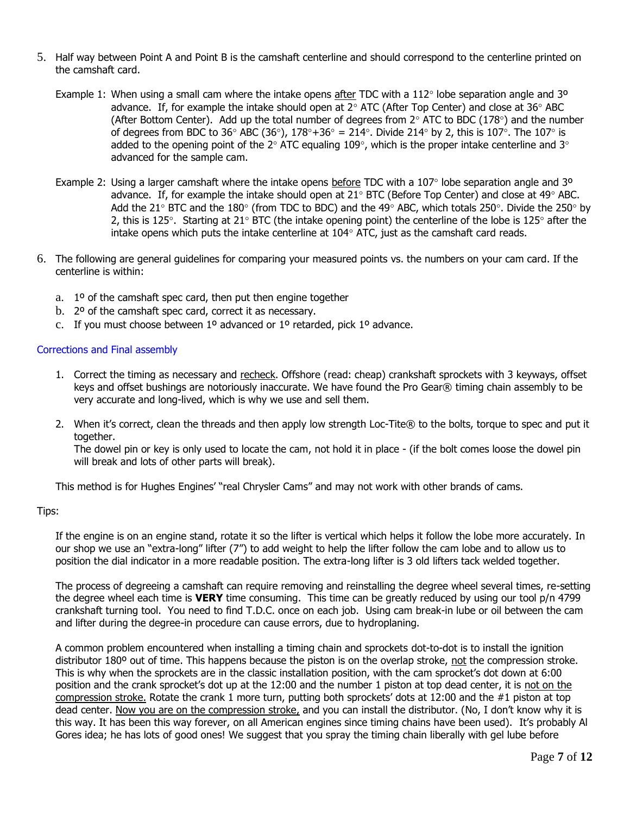- 5. Half way between Point A and Point B is the camshaft centerline and should correspond to the centerline printed on the camshaft card.
	- Example 1: When using a small cam where the intake opens after TDC with a 112 $\degree$  lobe separation angle and 3 $\degree$ advance. If, for example the intake should open at  $2^{\circ}$  ATC (After Top Center) and close at  $36^{\circ}$  ABC (After Bottom Center). Add up the total number of degrees from  $2^{\circ}$  ATC to BDC (178 $^{\circ}$ ) and the number of degrees from BDC to 36° ABC (36°),  $178^\circ + 36^\circ = 214^\circ$ . Divide 214° by 2, this is 107°. The 107° is added to the opening point of the 2 $\degree$  ATC equaling 109 $\degree$ , which is the proper intake centerline and 3 $\degree$ advanced for the sample cam.
	- Example 2: Using a larger camshaft where the intake opens before TDC with a 107 $\degree$  lobe separation angle and 3<sup>o</sup> advance. If, for example the intake should open at 21 $\degree$  BTC (Before Top Center) and close at 49 $\degree$  ABC. Add the 21° BTC and the 180° (from TDC to BDC) and the 49° ABC, which totals 250°. Divide the 250° by 2, this is 125°. Starting at 21° BTC (the intake opening point) the centerline of the lobe is 125° after the intake opens which puts the intake centerline at  $104^{\circ}$  ATC, just as the camshaft card reads.
- 6. The following are general guidelines for comparing your measured points vs. the numbers on your cam card. If the centerline is within:
	- a. 1º of the camshaft spec card, then put then engine together
	- b. 2º of the camshaft spec card, correct it as necessary.
	- c. If you must choose between  $1^{\circ}$  advanced or  $1^{\circ}$  retarded, pick  $1^{\circ}$  advance.

#### Corrections and Final assembly

- 1. Correct the timing as necessary and recheck. Offshore (read: cheap) crankshaft sprockets with 3 keyways, offset keys and offset bushings are notoriously inaccurate. We have found the Pro Gear® timing chain assembly to be very accurate and long-lived, which is why we use and sell them.
- 2. When it's correct, clean the threads and then apply low strength Loc-Tite® to the bolts, torque to spec and put it together.

The dowel pin or key is only used to locate the cam, not hold it in place - (if the bolt comes loose the dowel pin will break and lots of other parts will break).

This method is for Hughes Engines' "real Chrysler Cams" and may not work with other brands of cams.

#### Tips:

If the engine is on an engine stand, rotate it so the lifter is vertical which helps it follow the lobe more accurately. In our shop we use an "extra-long" lifter (7") to add weight to help the lifter follow the cam lobe and to allow us to position the dial indicator in a more readable position. The extra-long lifter is 3 old lifters tack welded together.

The process of degreeing a camshaft can require removing and reinstalling the degree wheel several times, re-setting the degree wheel each time is **VERY** time consuming. This time can be greatly reduced by using our tool p/n 4799 crankshaft turning tool. You need to find T.D.C. once on each job. Using cam break-in lube or oil between the cam and lifter during the degree-in procedure can cause errors, due to hydroplaning.

A common problem encountered when installing a timing chain and sprockets dot-to-dot is to install the ignition distributor 180° out of time. This happens because the piston is on the overlap stroke, not the compression stroke. This is why when the sprockets are in the classic installation position, with the cam sprocket's dot down at 6:00 position and the crank sprocket's dot up at the 12:00 and the number 1 piston at top dead center, it is not on the compression stroke. Rotate the crank 1 more turn, putting both sprockets' dots at 12:00 and the #1 piston at top dead center. Now you are on the compression stroke, and you can install the distributor. (No, I don't know why it is this way. It has been this way forever, on all American engines since timing chains have been used). It's probably Al Gores idea; he has lots of good ones! We suggest that you spray the timing chain liberally with gel lube before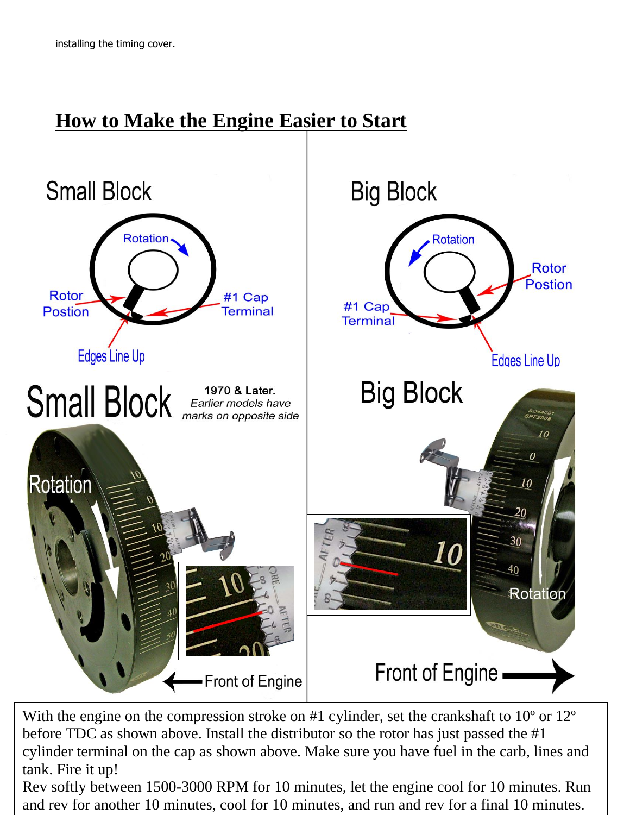# **How to Make the Engine Easier to Start**



cylinder terminal on the cap as shown above. Make sure you have fuel in the carb, lines and With the engine on the compression stroke on #1 cylinder, set the crankshaft to 10° or 12° before TDC as shown above. Install the distributor so the rotor has just passed the #1 tank. Fire it up!

Rev softly between 1500-3000 RPM for 10 minutes, let the engine cool for 10 minutes. Run and rev for another 10 minutes, cool for 10 minutes, and run and rev for a final 10 minutes.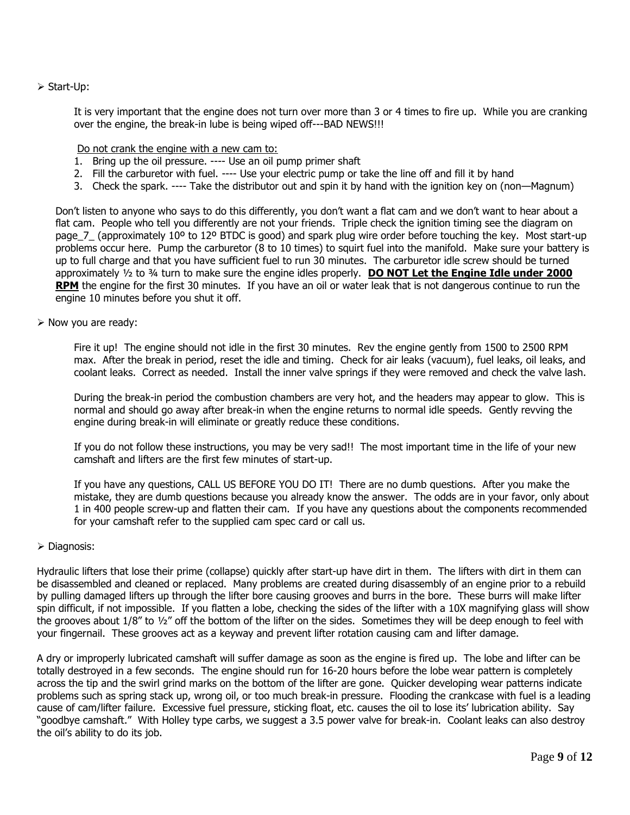#### ➢ Start-Up:

It is very important that the engine does not turn over more than 3 or 4 times to fire up. While you are cranking over the engine, the break-in lube is being wiped off---BAD NEWS!!!

Do not crank the engine with a new cam to:

- 1. Bring up the oil pressure. ---- Use an oil pump primer shaft
- 2. Fill the carburetor with fuel. ---- Use your electric pump or take the line off and fill it by hand
- 3. Check the spark. ---- Take the distributor out and spin it by hand with the ignition key on (non—Magnum)

Don't listen to anyone who says to do this differently, you don't want a flat cam and we don't want to hear about a flat cam. People who tell you differently are not your friends. Triple check the ignition timing see the diagram on page  $7$  (approximately 10<sup>o</sup> to 12<sup>o</sup> BTDC is good) and spark plug wire order before touching the key. Most start-up problems occur here. Pump the carburetor (8 to 10 times) to squirt fuel into the manifold. Make sure your battery is up to full charge and that you have sufficient fuel to run 30 minutes. The carburetor idle screw should be turned approximately ½ to ¾ turn to make sure the engine idles properly. **DO NOT Let the Engine Idle under 2000 RPM** the engine for the first 30 minutes. If you have an oil or water leak that is not dangerous continue to run the engine 10 minutes before you shut it off.

#### ➢ Now you are ready:

Fire it up! The engine should not idle in the first 30 minutes. Rev the engine gently from 1500 to 2500 RPM max. After the break in period, reset the idle and timing. Check for air leaks (vacuum), fuel leaks, oil leaks, and coolant leaks. Correct as needed. Install the inner valve springs if they were removed and check the valve lash.

During the break-in period the combustion chambers are very hot, and the headers may appear to glow. This is normal and should go away after break-in when the engine returns to normal idle speeds. Gently revving the engine during break-in will eliminate or greatly reduce these conditions.

If you do not follow these instructions, you may be very sad!! The most important time in the life of your new camshaft and lifters are the first few minutes of start-up.

If you have any questions, CALL US BEFORE YOU DO IT! There are no dumb questions. After you make the mistake, they are dumb questions because you already know the answer. The odds are in your favor, only about 1 in 400 people screw-up and flatten their cam. If you have any questions about the components recommended for your camshaft refer to the supplied cam spec card or call us.

#### ➢ Diagnosis:

Hydraulic lifters that lose their prime (collapse) quickly after start-up have dirt in them. The lifters with dirt in them can be disassembled and cleaned or replaced. Many problems are created during disassembly of an engine prior to a rebuild by pulling damaged lifters up through the lifter bore causing grooves and burrs in the bore. These burrs will make lifter spin difficult, if not impossible. If you flatten a lobe, checking the sides of the lifter with a 10X magnifying glass will show the grooves about  $1/8$ " to  $1/2$ " off the bottom of the lifter on the sides. Sometimes they will be deep enough to feel with your fingernail. These grooves act as a keyway and prevent lifter rotation causing cam and lifter damage.

A dry or improperly lubricated camshaft will suffer damage as soon as the engine is fired up. The lobe and lifter can be totally destroyed in a few seconds. The engine should run for 16-20 hours before the lobe wear pattern is completely across the tip and the swirl grind marks on the bottom of the lifter are gone. Quicker developing wear patterns indicate problems such as spring stack up, wrong oil, or too much break-in pressure. Flooding the crankcase with fuel is a leading cause of cam/lifter failure. Excessive fuel pressure, sticking float, etc. causes the oil to lose its' lubrication ability. Say "goodbye camshaft." With Holley type carbs, we suggest a 3.5 power valve for break-in. Coolant leaks can also destroy the oil's ability to do its job.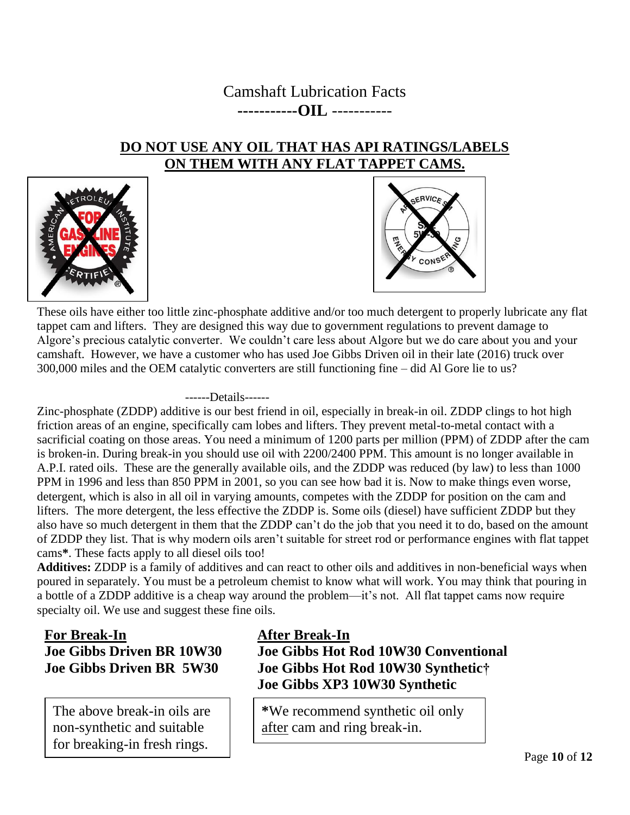## Camshaft Lubrication Facts **-----------OIL** -----------

## **DO NOT USE ANY OIL THAT HAS API RATINGS/LABELS ON THEM WITH ANY FLAT TAPPET CAMS.**





These oils have either too little zinc-phosphate additive and/or too much detergent to properly lubricate any flat tappet cam and lifters. They are designed this way due to government regulations to prevent damage to Algore's precious catalytic converter. We couldn't care less about Algore but we do care about you and your camshaft. However, we have a customer who has used Joe Gibbs Driven oil in their late (2016) truck over 300,000 miles and the OEM catalytic converters are still functioning fine – did Al Gore lie to us?

------Details------

Zinc-phosphate (ZDDP) additive is our best friend in oil, especially in break-in oil. ZDDP clings to hot high friction areas of an engine, specifically cam lobes and lifters. They prevent metal-to-metal contact with a sacrificial coating on those areas. You need a minimum of 1200 parts per million (PPM) of ZDDP after the cam is broken-in. During break-in you should use oil with 2200/2400 PPM. This amount is no longer available in A.P.I. rated oils. These are the generally available oils, and the ZDDP was reduced (by law) to less than 1000 PPM in 1996 and less than 850 PPM in 2001, so you can see how bad it is. Now to make things even worse, detergent, which is also in all oil in varying amounts, competes with the ZDDP for position on the cam and lifters. The more detergent, the less effective the ZDDP is. Some oils (diesel) have sufficient ZDDP but they also have so much detergent in them that the ZDDP can't do the job that you need it to do, based on the amount of ZDDP they list. That is why modern oils aren't suitable for street rod or performance engines with flat tappet cams**\***. These facts apply to all diesel oils too!

**Additives:** ZDDP is a family of additives and can react to other oils and additives in non-beneficial ways when poured in separately. You must be a petroleum chemist to know what will work. You may think that pouring in a bottle of a ZDDP additive is a cheap way around the problem—it's not. All flat tappet cams now require specialty oil. We use and suggest these fine oils.

## **For Break-In Joe Gibbs Driven BR 10W30 Joe Gibbs Driven BR 5W30**

The above break-in oils are non-synthetic and suitable for breaking-in fresh rings.

## **After Break-In Joe Gibbs Hot Rod 10W30 Conventional Joe Gibbs Hot Rod 10W30 Synthetic† Joe Gibbs XP3 10W30 Synthetic**

**\***We recommend synthetic oil only after cam and ring break-in.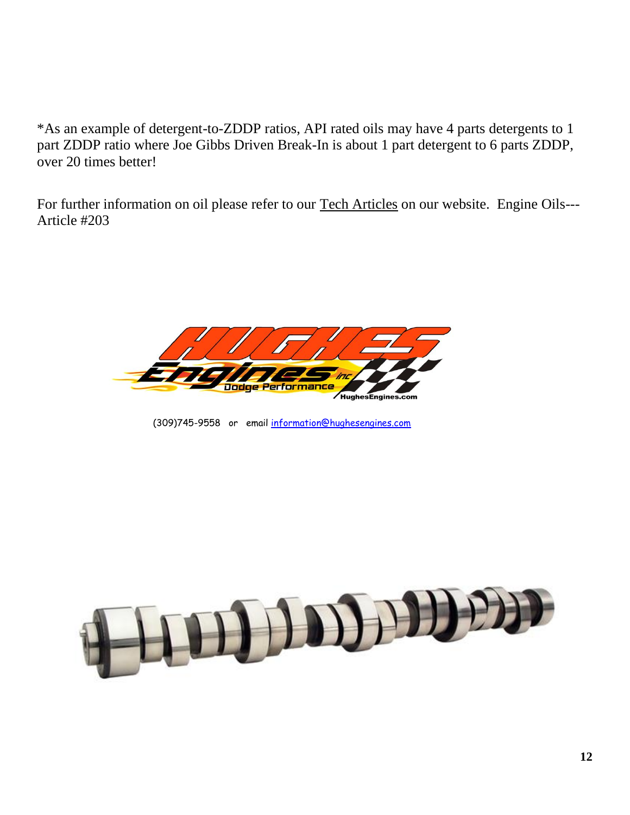\*As an example of detergent-to-ZDDP ratios, API rated oils may have 4 parts detergents to 1 part ZDDP ratio where Joe Gibbs Driven Break-In is about 1 part detergent to 6 parts ZDDP, over 20 times better!

For further information on oil please refer to our Tech Articles on our website. Engine Oils--- Article #203



(309)745-9558 or email [information@hughesengines.com](mailto:information@hughesengines.com)